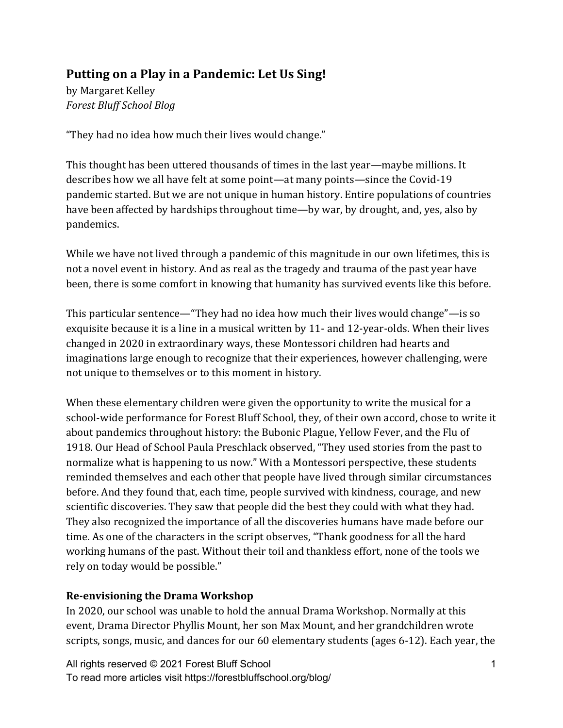# Putting on a Play in a Pandemic: Let Us Sing!

by Margaret Kelley *Forest Bluff School Blog*

"They had no idea how much their lives would change."

This thought has been uttered thousands of times in the last year—maybe millions. It describes how we all have felt at some point—at many points—since the Covid-19 pandemic started. But we are not unique in human history. Entire populations of countries have been affected by hardships throughout time—by war, by drought, and, yes, also by pandemics. 

While we have not lived through a pandemic of this magnitude in our own lifetimes, this is not a novel event in history. And as real as the tragedy and trauma of the past year have been, there is some comfort in knowing that humanity has survived events like this before.

This particular sentence—"They had no idea how much their lives would change"—is so exquisite because it is a line in a musical written by 11- and 12-year-olds. When their lives changed in 2020 in extraordinary ways, these Montessori children had hearts and imaginations large enough to recognize that their experiences, however challenging, were not unique to themselves or to this moment in history.

When these elementary children were given the opportunity to write the musical for a school-wide performance for Forest Bluff School, they, of their own accord, chose to write it about pandemics throughout history: the Bubonic Plague, Yellow Fever, and the Flu of 1918. Our Head of School Paula Preschlack observed, "They used stories from the past to normalize what is happening to us now." With a Montessori perspective, these students reminded themselves and each other that people have lived through similar circumstances before. And they found that, each time, people survived with kindness, courage, and new scientific discoveries. They saw that people did the best they could with what they had. They also recognized the importance of all the discoveries humans have made before our time. As one of the characters in the script observes, "Thank goodness for all the hard working humans of the past. Without their toil and thankless effort, none of the tools we rely on today would be possible."

## **Re-envisioning the Drama Workshop**

In 2020, our school was unable to hold the annual Drama Workshop. Normally at this event, Drama Director Phyllis Mount, her son Max Mount, and her grandchildren wrote scripts, songs, music, and dances for our 60 elementary students (ages 6-12). Each year, the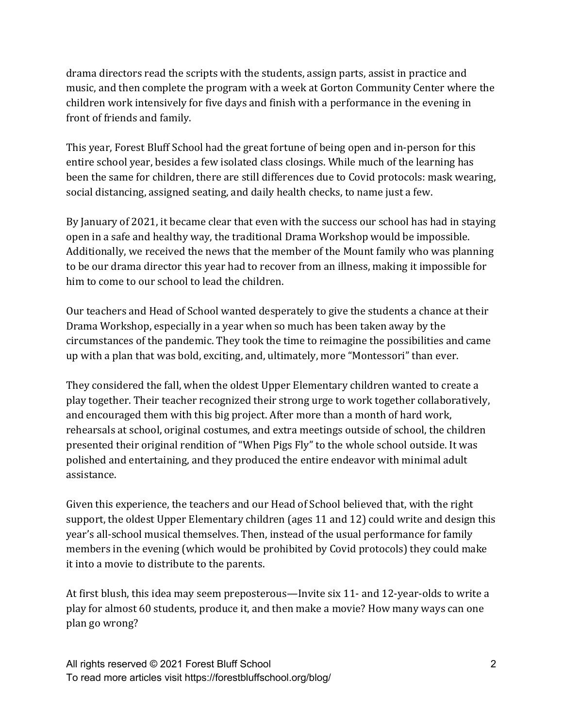drama directors read the scripts with the students, assign parts, assist in practice and music, and then complete the program with a week at Gorton Community Center where the children work intensively for five days and finish with a performance in the evening in front of friends and family.

This year, Forest Bluff School had the great fortune of being open and in-person for this entire school year, besides a few isolated class closings. While much of the learning has been the same for children, there are still differences due to Covid protocols: mask wearing, social distancing, assigned seating, and daily health checks, to name just a few.

By January of 2021, it became clear that even with the success our school has had in staying open in a safe and healthy way, the traditional Drama Workshop would be impossible. Additionally, we received the news that the member of the Mount family who was planning to be our drama director this year had to recover from an illness, making it impossible for him to come to our school to lead the children.

Our teachers and Head of School wanted desperately to give the students a chance at their Drama Workshop, especially in a year when so much has been taken away by the circumstances of the pandemic. They took the time to reimagine the possibilities and came up with a plan that was bold, exciting, and, ultimately, more "Montessori" than ever.

They considered the fall, when the oldest Upper Elementary children wanted to create a play together. Their teacher recognized their strong urge to work together collaboratively, and encouraged them with this big project. After more than a month of hard work, rehearsals at school, original costumes, and extra meetings outside of school, the children presented their original rendition of "When Pigs Fly" to the whole school outside. It was polished and entertaining, and they produced the entire endeavor with minimal adult assistance. 

Given this experience, the teachers and our Head of School believed that, with the right support, the oldest Upper Elementary children (ages 11 and 12) could write and design this year's all-school musical themselves. Then, instead of the usual performance for family members in the evening (which would be prohibited by Covid protocols) they could make it into a movie to distribute to the parents.

At first blush, this idea may seem preposterous—Invite six 11- and 12-year-olds to write a play for almost 60 students, produce it, and then make a movie? How many ways can one plan go wrong?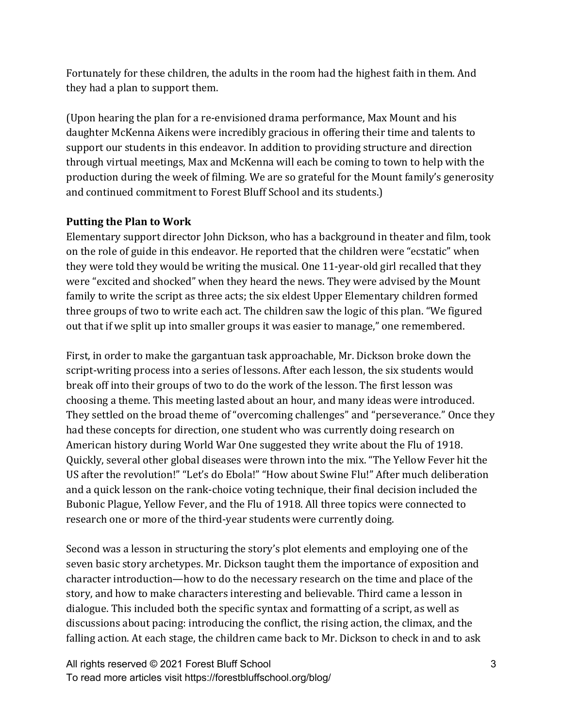Fortunately for these children, the adults in the room had the highest faith in them. And they had a plan to support them.

(Upon hearing the plan for a re-envisioned drama performance, Max Mount and his daughter McKenna Aikens were incredibly gracious in offering their time and talents to support our students in this endeavor. In addition to providing structure and direction through virtual meetings, Max and McKenna will each be coming to town to help with the production during the week of filming. We are so grateful for the Mount family's generosity and continued commitment to Forest Bluff School and its students.)

#### **Putting the Plan to Work**

Elementary support director John Dickson, who has a background in theater and film, took on the role of guide in this endeavor. He reported that the children were "ecstatic" when they were told they would be writing the musical. One 11-year-old girl recalled that they were "excited and shocked" when they heard the news. They were advised by the Mount family to write the script as three acts; the six eldest Upper Elementary children formed three groups of two to write each act. The children saw the logic of this plan. "We figured out that if we split up into smaller groups it was easier to manage," one remembered.

First, in order to make the gargantuan task approachable, Mr. Dickson broke down the script-writing process into a series of lessons. After each lesson, the six students would break off into their groups of two to do the work of the lesson. The first lesson was choosing a theme. This meeting lasted about an hour, and many ideas were introduced. They settled on the broad theme of "overcoming challenges" and "perseverance." Once they had these concepts for direction, one student who was currently doing research on American history during World War One suggested they write about the Flu of 1918. Quickly, several other global diseases were thrown into the mix. "The Yellow Fever hit the US after the revolution!" "Let's do Ebola!" "How about Swine Flu!" After much deliberation and a quick lesson on the rank-choice voting technique, their final decision included the Bubonic Plague, Yellow Fever, and the Flu of 1918. All three topics were connected to research one or more of the third-year students were currently doing.

Second was a lesson in structuring the story's plot elements and employing one of the seven basic story archetypes. Mr. Dickson taught them the importance of exposition and character introduction—how to do the necessary research on the time and place of the story, and how to make characters interesting and believable. Third came a lesson in dialogue. This included both the specific syntax and formatting of a script, as well as discussions about pacing: introducing the conflict, the rising action, the climax, and the falling action. At each stage, the children came back to Mr. Dickson to check in and to ask

All rights reserved © 2021 Forest Bluff School To read more articles visit https://forestbluffschool.org/blog/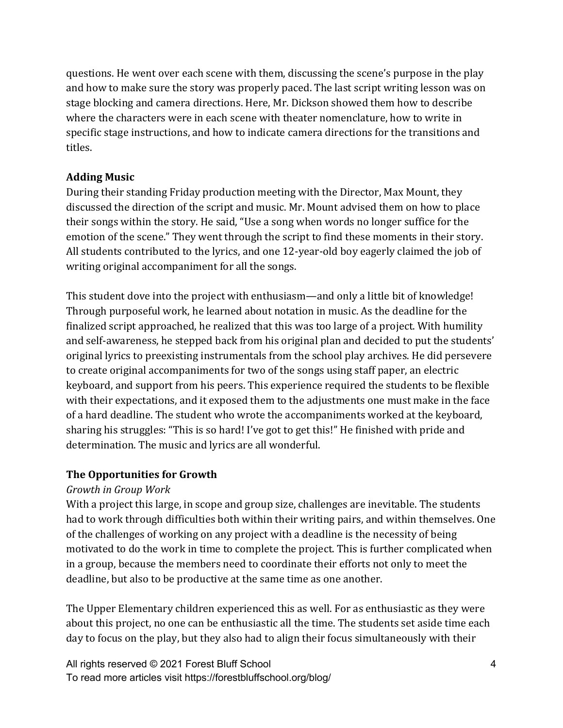questions. He went over each scene with them, discussing the scene's purpose in the play and how to make sure the story was properly paced. The last script writing lesson was on stage blocking and camera directions. Here, Mr. Dickson showed them how to describe where the characters were in each scene with theater nomenclature, how to write in specific stage instructions, and how to indicate camera directions for the transitions and titles.

#### **Adding Music**

During their standing Friday production meeting with the Director, Max Mount, they discussed the direction of the script and music. Mr. Mount advised them on how to place their songs within the story. He said, "Use a song when words no longer suffice for the emotion of the scene." They went through the script to find these moments in their story. All students contributed to the lyrics, and one 12-year-old boy eagerly claimed the job of writing original accompaniment for all the songs.

This student dove into the project with enthusiasm—and only a little bit of knowledge! Through purposeful work, he learned about notation in music. As the deadline for the finalized script approached, he realized that this was too large of a project. With humility and self-awareness, he stepped back from his original plan and decided to put the students' original lyrics to preexisting instrumentals from the school play archives. He did persevere to create original accompaniments for two of the songs using staff paper, an electric keyboard, and support from his peers. This experience required the students to be flexible with their expectations, and it exposed them to the adjustments one must make in the face of a hard deadline. The student who wrote the accompaniments worked at the keyboard, sharing his struggles: "This is so hard! I've got to get this!" He finished with pride and determination. The music and lyrics are all wonderful.

## **The Opportunities for Growth**

## *Growth in Group Work*

With a project this large, in scope and group size, challenges are inevitable. The students had to work through difficulties both within their writing pairs, and within themselves. One of the challenges of working on any project with a deadline is the necessity of being motivated to do the work in time to complete the project. This is further complicated when in a group, because the members need to coordinate their efforts not only to meet the deadline, but also to be productive at the same time as one another.

The Upper Elementary children experienced this as well. For as enthusiastic as they were about this project, no one can be enthusiastic all the time. The students set aside time each day to focus on the play, but they also had to align their focus simultaneously with their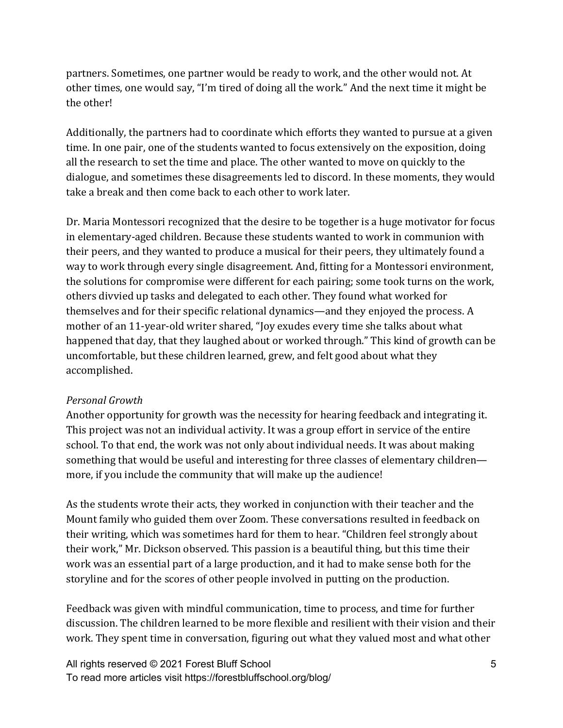partners. Sometimes, one partner would be ready to work, and the other would not. At other times, one would say, "I'm tired of doing all the work." And the next time it might be the other!

Additionally, the partners had to coordinate which efforts they wanted to pursue at a given time. In one pair, one of the students wanted to focus extensively on the exposition, doing all the research to set the time and place. The other wanted to move on quickly to the dialogue, and sometimes these disagreements led to discord. In these moments, they would take a break and then come back to each other to work later.

Dr. Maria Montessori recognized that the desire to be together is a huge motivator for focus in elementary-aged children. Because these students wanted to work in communion with their peers, and they wanted to produce a musical for their peers, they ultimately found a way to work through every single disagreement. And, fitting for a Montessori environment, the solutions for compromise were different for each pairing; some took turns on the work, others divvied up tasks and delegated to each other. They found what worked for themselves and for their specific relational dynamics—and they enjoyed the process. A mother of an 11-year-old writer shared, "Joy exudes every time she talks about what happened that day, that they laughed about or worked through." This kind of growth can be uncomfortable, but these children learned, grew, and felt good about what they accomplished. 

#### *Personal Growth*

Another opportunity for growth was the necessity for hearing feedback and integrating it. This project was not an individual activity. It was a group effort in service of the entire school. To that end, the work was not only about individual needs. It was about making something that would be useful and interesting for three classes of elementary children more, if you include the community that will make up the audience!

As the students wrote their acts, they worked in conjunction with their teacher and the Mount family who guided them over Zoom. These conversations resulted in feedback on their writing, which was sometimes hard for them to hear. "Children feel strongly about their work," Mr. Dickson observed. This passion is a beautiful thing, but this time their work was an essential part of a large production, and it had to make sense both for the storyline and for the scores of other people involved in putting on the production.

Feedback was given with mindful communication, time to process, and time for further discussion. The children learned to be more flexible and resilient with their vision and their work. They spent time in conversation, figuring out what they valued most and what other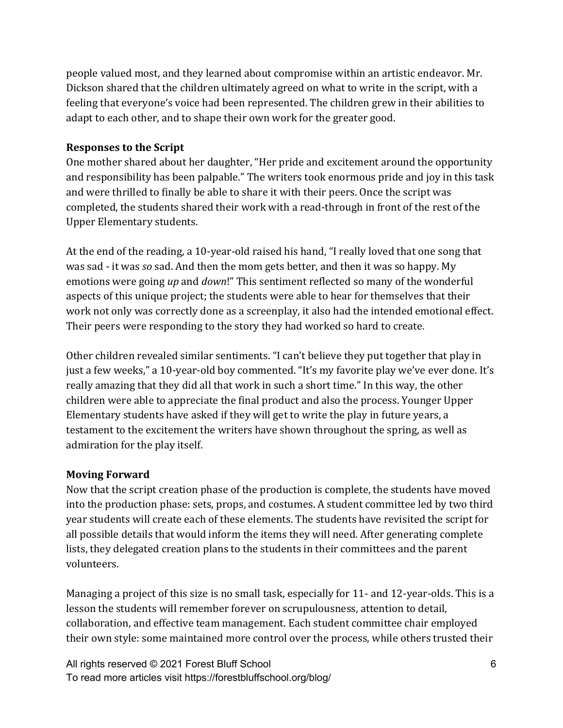people valued most, and they learned about compromise within an artistic endeavor. Mr. Dickson shared that the children ultimately agreed on what to write in the script, with a feeling that everyone's voice had been represented. The children grew in their abilities to adapt to each other, and to shape their own work for the greater good.

#### **Responses to the Script**

One mother shared about her daughter, "Her pride and excitement around the opportunity and responsibility has been palpable." The writers took enormous pride and joy in this task and were thrilled to finally be able to share it with their peers. Once the script was completed, the students shared their work with a read-through in front of the rest of the Upper Elementary students.

At the end of the reading, a 10-year-old raised his hand, "I really loved that one song that was sad - it was *so* sad. And then the mom gets better, and then it was so happy. My emotions were going up and *down*!" This sentiment reflected so many of the wonderful aspects of this unique project; the students were able to hear for themselves that their work not only was correctly done as a screenplay, it also had the intended emotional effect. Their peers were responding to the story they had worked so hard to create.

Other children revealed similar sentiments. "I can't believe they put together that play in just a few weeks," a 10-year-old boy commented. "It's my favorite play we've ever done. It's really amazing that they did all that work in such a short time." In this way, the other children were able to appreciate the final product and also the process. Younger Upper Elementary students have asked if they will get to write the play in future years, a testament to the excitement the writers have shown throughout the spring, as well as admiration for the play itself.

#### **Moving Forward**

Now that the script creation phase of the production is complete, the students have moved into the production phase: sets, props, and costumes. A student committee led by two third year students will create each of these elements. The students have revisited the script for all possible details that would inform the items they will need. After generating complete lists, they delegated creation plans to the students in their committees and the parent volunteers. 

Managing a project of this size is no small task, especially for 11- and 12-year-olds. This is a lesson the students will remember forever on scrupulousness, attention to detail, collaboration, and effective team management. Each student committee chair employed their own style: some maintained more control over the process, while others trusted their

All rights reserved © 2021 Forest Bluff School To read more articles visit https://forestbluffschool.org/blog/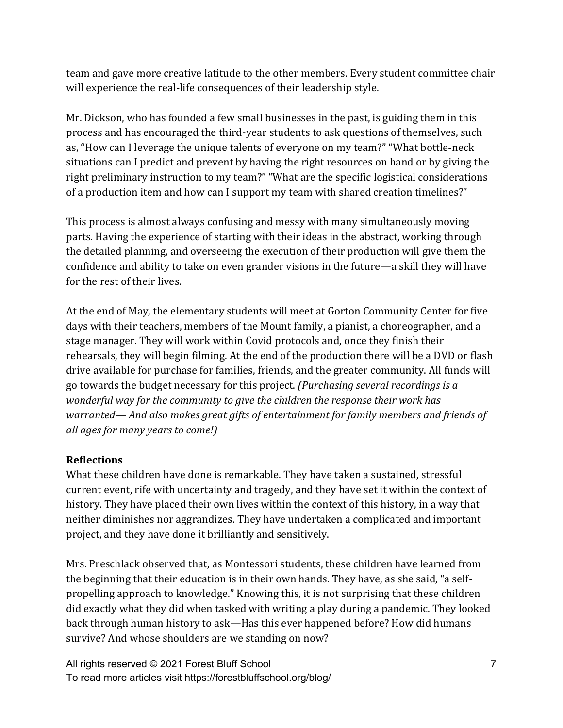team and gave more creative latitude to the other members. Every student committee chair will experience the real-life consequences of their leadership style.

Mr. Dickson, who has founded a few small businesses in the past, is guiding them in this process and has encouraged the third-year students to ask questions of themselves, such as, "How can I leverage the unique talents of everyone on my team?" "What bottle-neck situations can I predict and prevent by having the right resources on hand or by giving the right preliminary instruction to my team?" "What are the specific logistical considerations of a production item and how can I support my team with shared creation timelines?"

This process is almost always confusing and messy with many simultaneously moving parts. Having the experience of starting with their ideas in the abstract, working through the detailed planning, and overseeing the execution of their production will give them the confidence and ability to take on even grander visions in the future—a skill they will have for the rest of their lives.

At the end of May, the elementary students will meet at Gorton Community Center for five days with their teachers, members of the Mount family, a pianist, a choreographer, and a stage manager. They will work within Covid protocols and, once they finish their rehearsals, they will begin filming. At the end of the production there will be a DVD or flash drive available for purchase for families, friends, and the greater community. All funds will go towards the budget necessary for this project. *(Purchasing several recordings is a wonderful way for the community to give the children the response their work has warranted—* And also makes great gifts of entertainment for family members and friends of *all ages for many years to come!)*

## **Reflections**

What these children have done is remarkable. They have taken a sustained, stressful current event, rife with uncertainty and tragedy, and they have set it within the context of history. They have placed their own lives within the context of this history, in a way that neither diminishes nor aggrandizes. They have undertaken a complicated and important project, and they have done it brilliantly and sensitively.

Mrs. Preschlack observed that, as Montessori students, these children have learned from the beginning that their education is in their own hands. They have, as she said, "a selfpropelling approach to knowledge." Knowing this, it is not surprising that these children did exactly what they did when tasked with writing a play during a pandemic. They looked back through human history to ask—Has this ever happened before? How did humans survive? And whose shoulders are we standing on now?